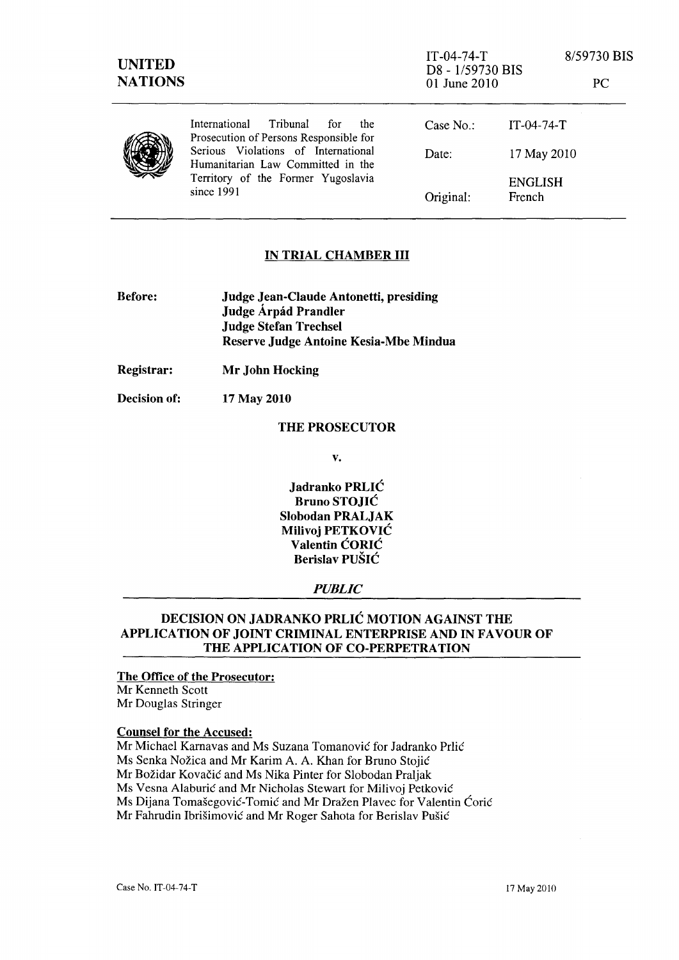| <b>UNITED</b><br><b>NATIONS</b> |                                                                                                                              | $IT-04-74-T$<br>D8 - 1/59730 BIS<br>01 June 2010 |                          | 8/59730 BIS<br>PC |
|---------------------------------|------------------------------------------------------------------------------------------------------------------------------|--------------------------------------------------|--------------------------|-------------------|
|                                 | Tribunal<br>International<br>for for<br>the<br>Prosecution of Persons Responsible for                                        | Case $No.$ :                                     | $IT-04-74-T$             |                   |
|                                 | Serious Violations of International<br>Humanitarian Law Committed in the<br>Territory of the Former Yugoslavia<br>since 1991 | Date:                                            | 17 May 2010              |                   |
|                                 |                                                                                                                              | Original:                                        | <b>ENGLISH</b><br>French |                   |

# IN TRIAL CHAMBER III

| <b>Before:</b> | Judge Jean-Claude Antonetti, presiding |  |
|----------------|----------------------------------------|--|
|                | Judge Árpád Prandler                   |  |
|                | <b>Judge Stefan Trechsel</b>           |  |
|                | Reserve Judge Antoine Kesia-Mbe Mindua |  |

Registrar: Mr John Hocking

Decision of: 17 May 2010

#### THE PROSECUTOR

v.

Jadranko PRLIC Bruno STOJIC Slobodan PRALJAK Milivoj PETKOVIC Valentin CORIC Berislav PUSIC

## *PUBLIC*

# DECISION ON JADRANKO PRLIC MOTION AGAINST THE APPLICATION OF JOINT CRIMINAL ENTERPRISE AND IN FAVOUR OF THE APPLICATION OF CO-PERPETRATION

#### The Office of the Prosecutor: Mr Kenneth Scott

Mr Douglas Stringer

### Counsel for the Accused:

Mr Michael Karnavas and Ms Suzana Tomanović for Jadranko Prlić

Ms Senka Nozica and Mr Karim A. A. Khan for Bruno Stojic

Mr Božidar Kovačić and Ms Nika Pinter for Slobodan Praljak

Ms Vesna Alaburić and Mr Nicholas Stewart for Milivoj Petković

Ms Dijana Tomašegović-Tomić and Mr Dražen Plavec for Valentin Ćorić

Mr Fahrudin Ibrišimović and Mr Roger Sahota for Berislav Pušić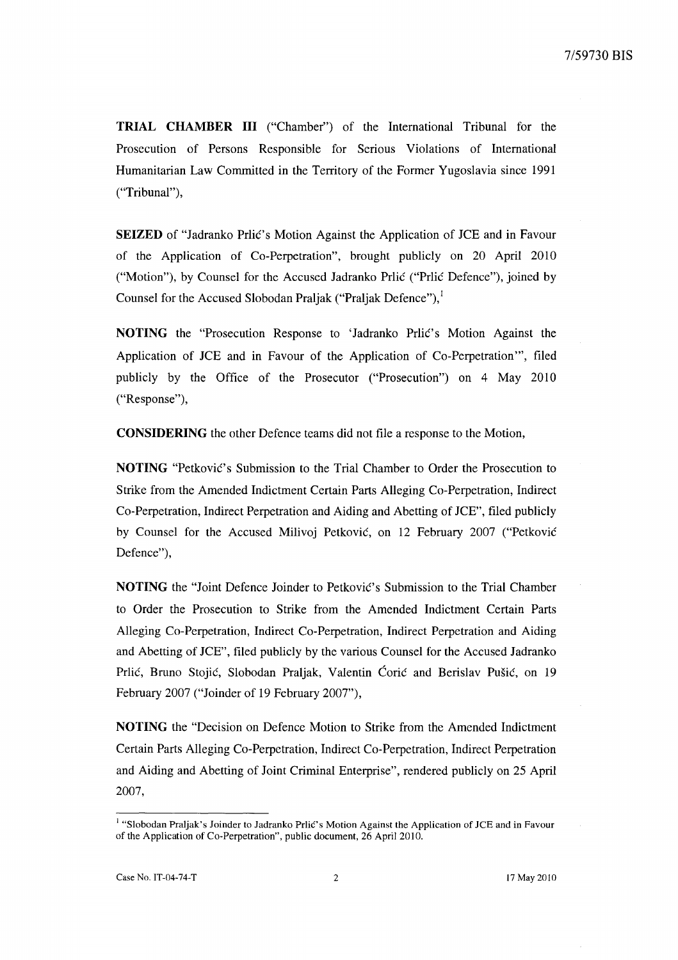**TRIAL CHAMBER III** ("Chamber") of the International Tribunal for the Prosecution of Persons Responsible for Serious Violations of International Humanitarian Law Committed in the Territory of the Former Yugoslavia since 1991 ("Tribunal"),

**SEIZED** of "Jadranko Prlic's Motion Against the Application of JCE and in Favour of the Application of Co-Perpetration", brought publicly on 20 April 2010 ("Motion"), by Counsel for the Accused Jadranko Prlić ("Prlić Defence"), joined by Counsel for the Accused Slobodan Praljak ("Praljak Defence"),

**NOTING** the "Prosecution Response to 'Jadranko Prlic's Motion Against the Application of JCE and in Favour of the Application of Co-Perpetration''', filed publicly by the Office of the Prosecutor ("Prosecution") on 4 May 2010 ("Response"),

**CONSIDERING** the other Defence teams did not file a response to the Motion,

**NOTING** "Petkovic's Submission to the Trial Chamber to Order the Prosecution to Strike from the Amended Indictment Certain Parts Alleging Co-Perpetration, Indirect Co-Perpetration, Indirect Perpetration and Aiding and Abetting of JCE", filed publicly by Counsel for the Accused Milivoj Petković, on 12 February 2007 ("Petković Defence"),

**NOTING** the "Joint Defence Joinder to Petkovie's Submission to the Trial Chamber to Order the Prosecution to Strike from the Amended Indictment Certain Parts Alleging Co-Perpetration, Indirect Co-Perpetration, Indirect Perpetration and Aiding and Abetting of JCE", filed publicly by the various Counsel for the Accused Jadranko Prlić, Bruno Stojić, Slobodan Praljak, Valentin Ćorić and Berislav Pušić, on 19 February 2007 ("Joinder of 19 February 2007"),

**NOTING** the "Decision on Defence Motion to Strike from the Amended Indictment Certain Parts Alleging Co-Perpetration, Indirect Co-Perpetration, Indirect Perpetration and Aiding and Abetting of Joint Criminal Enterprise", rendered publicly on 25 April 2007,

<sup>1</sup>"Slobodan Praljak's loinder to ladranko Prlic's Motion Against the Application of *lCE* and in Favour of the Application of Co-Perpetration", public document, 26 April 2010.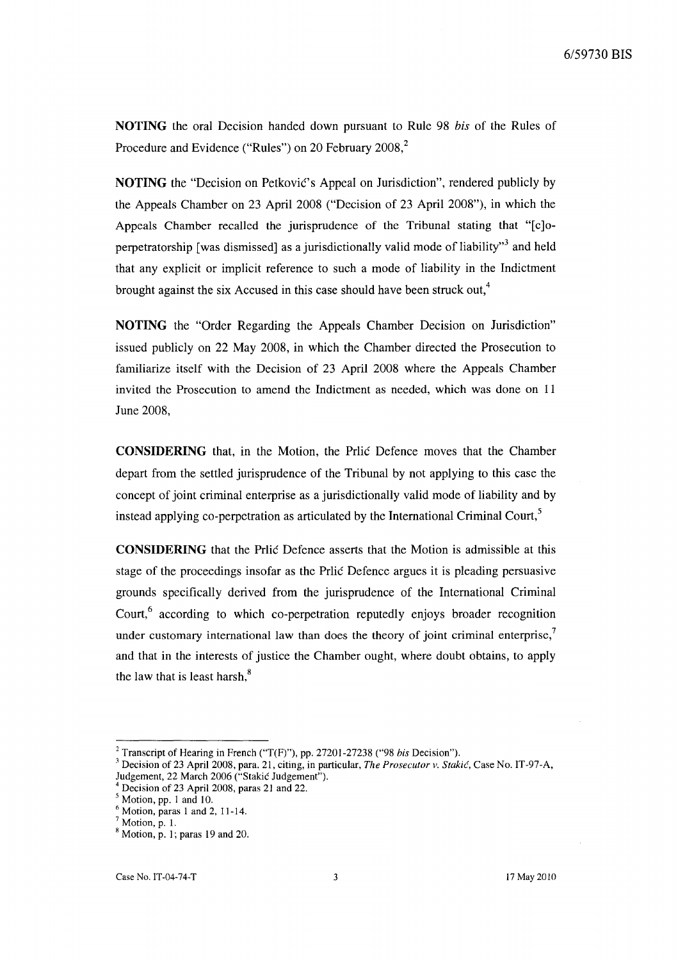**NOTING** the oral Decision handed down pursuant to Rule 98 *bis* of the Rules of Procedure and Evidence ("Rules") on 20 February 2008,<sup>2</sup>

**NOTING** the "Decision on Petković's Appeal on Jurisdiction", rendered publicly by the Appeals Chamber on 23 April 2008 ("Decision of 23 April 2008"), in which the Appeals Chamber recalled the jurisprudence of the Tribunal stating that "[c]operpetratorship [was dismissed] as a jurisdictionally valid mode of liability<sup> $,3$ </sup> and held that any explicit or implicit reference to such a mode of liability in the Indictment brought against the six Accused in this case should have been struck out,<sup>4</sup>

**NOTING** the "Order Regarding the Appeals Chamber Decision on Jurisdiction" issued publicly on 22 May 2008, in which the Chamber directed the Prosecution to familiarize itself with the Decision of 23 April 2008 where the Appeals Chamber invited the Prosecution to amend the Indictment as needed, which was done on 11 June 2008,

**CONSIDERING** that, in the Motion, the Prlic Defence moves that the Chamber depart from the settled jurisprudence of the Tribunal by not applying to this case the concept of joint criminal enterprise as a jurisdictionally valid mode of liability and by instead applying co-perpetration as articulated by the International Criminal Court,<sup>5</sup>

**CONSIDERING** that the Prlic Defence asserts that the Motion is admissible at this stage of the proceedings insofar as the Prlic Defence argues it is pleading persuasive grounds specifically derived from the jurisprudence of the International Criminal Court,<sup>6</sup> according to which co-perpetration reputedly enjoys broader recognition under customary international law than does the theory of joint criminal enterprise, $\overline{7}$ and that in the interests of justice the Chamber ought, where doubt obtains, to apply the law that is least harsh, $8<sup>8</sup>$ 

<sup>&</sup>lt;sup>2</sup> Transcript of Hearing in French ("T(F)"), pp. 27201-27238 ("98 *bis* Decision").

<sup>3</sup> Decision of 23 April 2008, para. 21, citing, in particular, *The Prosecutor v. Stakic,* Case No. IT -97-A, Judgement, 22 March 2006 ("Stakic Judgement").

<sup>4</sup> Decision of 23 April 2008, paras 21 and 22.

 $\frac{5}{5}$  Motion, pp. 1 and 10.

 $<sup>6</sup>$  Motion, paras 1 and 2, 11-14.</sup>

 $<sup>7</sup>$  Motion, p. 1.</sup>

 $8$  Motion, p. 1; paras 19 and 20.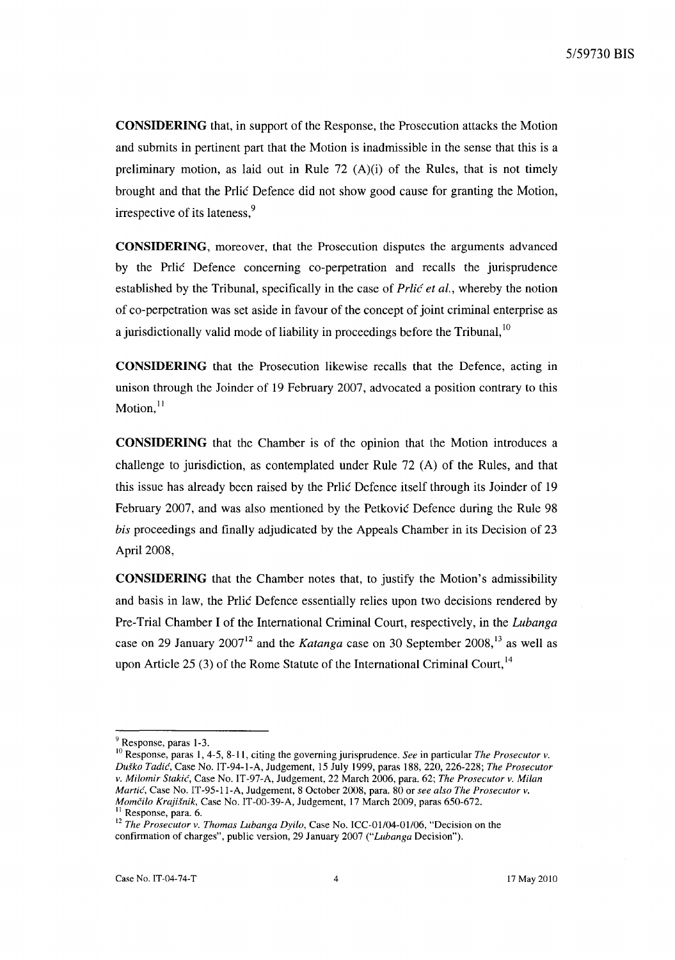**CONSIDERING** that, in support of the Response, the Prosecution attacks the Motion and submits in pertinent part that the Motion is inadmissible in the sense that this is a preliminary motion, as laid out in Rule  $72$  (A)(i) of the Rules, that is not timely brought and that the Prlic Defence did not show good cause for granting the Motion, irrespective of its lateness.<sup>9</sup>

**CONSIDERING,** moreover, that the Prosecution disputes the arguments advanced by the Prlic Defence concerning co-perpetration and recalls the jurisprudence established by the Tribunal, specifically in the case of Prlic *et al.,* whereby the notion of co-perpetration was set aside in favour of the concept of joint criminal enterprise as a jurisdictionally valid mode of liability in proceedings before the Tribunal,  $10$ 

**CONSIDERING** that the Prosecution likewise recalls that the Defence, acting in unison through the Joinder of 19 February 2007, advocated a position contrary to this Motion, $^{11}$ 

**CONSIDERING** that the Chamber is of the opinion that the Motion introduces a challenge to jurisdiction, as contemplated under Rule 72 (A) of the Rules, and that this issue has already been raised by the Prlic Defence itself through its Joinder of 19 February 2007, and was also mentioned by the Petkovic Defence during the Rule 98 *bis* proceedings and finally adjudicated by the Appeals Chamber in its Decision of 23 April 2008,

**CONSIDERING** that the Chamber notes that, to justify the Motion's admissibility and basis in law, the Prlic Defence essentially relies upon two decisions rendered by Pre-Trial Chamber I of the International Criminal Court, respectively, in the *Lubanga*  case on 29 January 2007<sup>12</sup> and the *Katanga* case on 30 September 2008,<sup>13</sup> as well as upon Article 25 (3) of the Rome Statute of the International Criminal Court,  $^{14}$ 

<sup>&</sup>lt;sup>9</sup> Response, paras 1-3.

<sup>&</sup>lt;sup>10</sup> Response, paras 1, 4-5, 8-11, citing the governing jurisprudence. *See* in particular *The Prosecutor v*. *Du§ko Tadic,* Case No. IT-94-1-A, Judgement, 15 July 1999, paras 188,220,226-228; *The Prosecutor v. Milomir Stakic,* Case No. IT-97-A, Judgement, 22 March 2006, para. 62; *The Prosecutor v. Milan Martic,* Case No. IT-95-II-A, Judgement, 8 October 2008, para. 80 or *see also The Prosecutor v. Momčilo Krajišnik, Case No. IT-00-39-A, Judgement, 17 March 2009, paras 650-672.* Response, para. 6.

<sup>&</sup>lt;sup>12</sup> The Prosecutor v. Thomas Lubanga Dyilo, Case No. ICC-01/04-01/06, "Decision on the confirmation of charges", public version, 29 January 2007 *("Lubanga* Decision").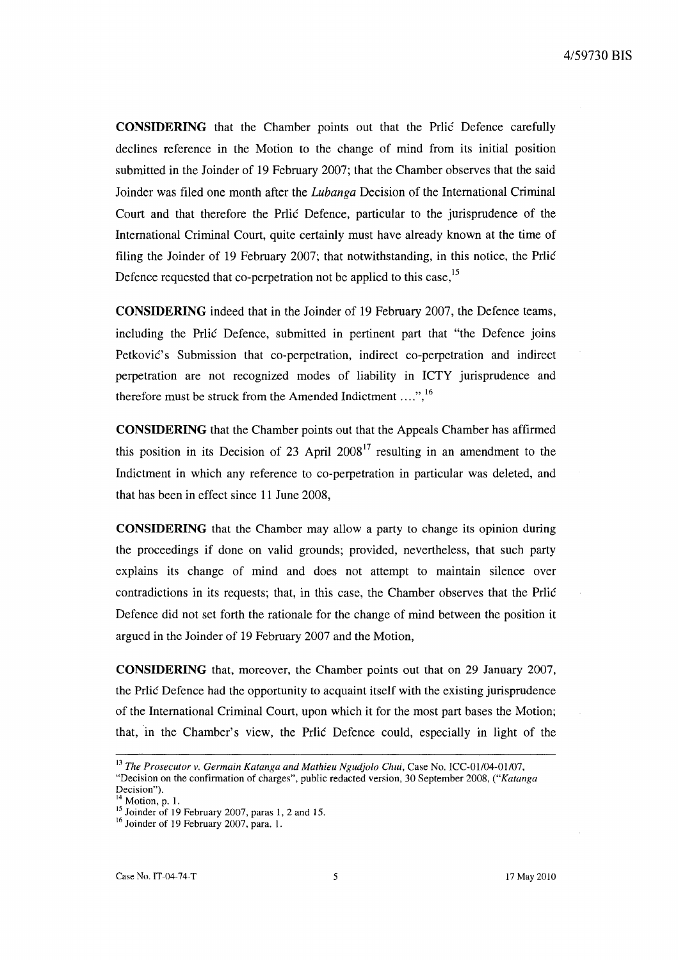**CONSIDERING** that the Chamber points out that the Prlic Defence carefully declines reference in the Motion to the change of mind from its initial position submitted in the Joinder of 19 February 2007; that the Chamber observes that the said Joinder was filed one month after the *Lubanga* Decision of the International Criminal Court and that therefore the Prlic Defence, particular to the jurisprudence of the International Criminal Court, quite certainly must have already known at the time of filing the Joinder of 19 February 2007; that notwithstanding, in this notice, the Prlic Defence requested that co-perpetration not be applied to this case,<sup>15</sup>

**CONSIDERING** indeed that in the Joinder of 19 February 2007, the Defence teams, including the Prlic Defence, submitted in pertinent part that "the Defence joins Petkovic's Submission that co-perpetration, indirect co-perpetration and indirect perpetration are not recognized modes of liability in ICTY jurisprudence and therefore must be struck from the Amended Indictment ....", <sup>16</sup>

**CONSIDERING** that the Chamber points out that the Appeals Chamber has affirmed this position in its Decision of 23 April 2008<sup>17</sup> resulting in an amendment to the Indictment in which any reference to co-perpetration in particular was deleted, and that has been in effect since 11 June 2008,

**CONSIDERING** that the Chamber may allow a party to change its opinion during the proceedings if done on valid grounds; provided, nevertheless, that such party explains its change of mind and does not attempt to maintain silence over contradictions in its requests; that, in this case, the Chamber observes that the Prlic Defence did not set forth the rationale for the change of mind between the position it argued in the Joinder of 19 February 2007 and the Motion,

**CONSIDERING** that, moreover, the Chamber points out that on 29 January 2007, the Prlic Defence had the opportunity to acquaint itself with the existing jurisprudence of the International Criminal Court, upon which it for the most part bases the Motion; that, in the Chamber's view, the Prlic Defence could, especially in light of the

<sup>&</sup>lt;sup>13</sup> The Prosecutor v. Germain Katanga and Mathieu Ngudjolo Chui, Case No. ICC-01/04-01/07, "Decision on the confirmation of charges", public redacted version, 30 September 2008, *("Katanga*  Decision").

 $<sup>4</sup>$  Motion, p. 1.</sup>

 $15$  Joinder of 19 February 2007, paras 1, 2 and 15.

<sup>&</sup>lt;sup>16</sup> Joinder of 19 February 2007, para. 1.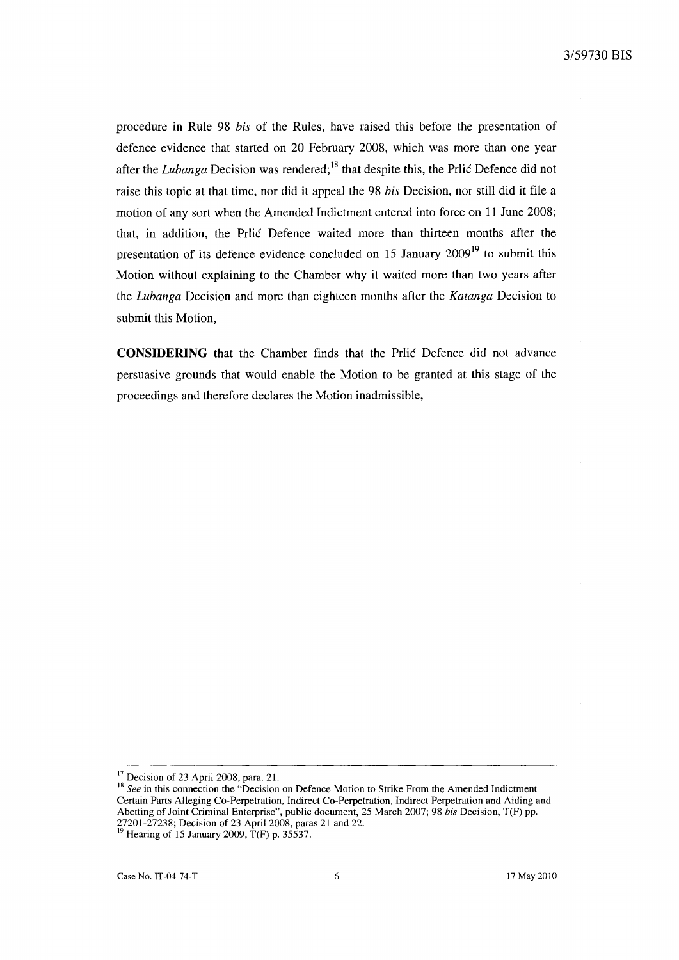procedure in Rule 98 *bis* of the Rules, have raised this before the presentation of defence evidence that started on 20 February 2008, which was more than one year after the *Lubanga* Decision was rendered; 18 that despite this, the Prlic Defence did not raise this topic at that time, nor did it appeal the 98 *bis* Decision, nor still did it file a motion of any sort when the Amended Indictment entered into force on 11 June 2008; that, in addition, the Prlic Defence waited more than thirteen months after the presentation of its defence evidence concluded on 15 January  $2009<sup>19</sup>$  to submit this Motion without explaining to the Chamber why it waited more than two years after the *Lubanga* Decision and more than eighteen months after the *Katanga* Decision to submit this Motion,

**CONSIDERING** that the Chamber finds that the Prlic Defence did not advance persuasive grounds that would enable the Motion to be granted at this stage of the proceedings and therefore declares the Motion inadmissible,

 $17$  Decision of 23 April 2008, para. 21.

<sup>&</sup>lt;sup>18</sup> See in this connection the "Decision on Defence Motion to Strike From the Amended Indictment Certain Parts Alleging Co-Perpetration, Indirect Co-Perpetration, Indirect Perpetration and Aiding and Abetting of Joint Criminal Enterprise", public document, 25 March 2007; 98 *his* Decision, T(F) pp. 27201-27238; Decision of 23 April 2008, paras 21 and 22.

 $^{19}$  Hearing of 15 January 2009, T(F) p. 35537.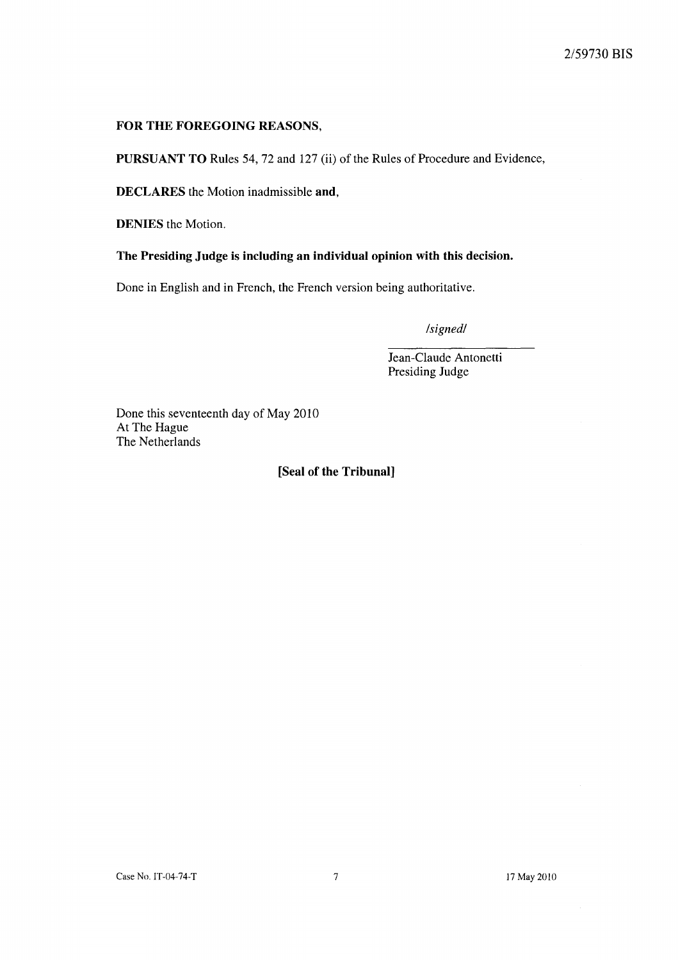# FOR THE FOREGOING REASONS,

PURSUANT TO Rules 54, 72 and 127 (ii) of the Rules of Procedure and Evidence,

DECLARES the Motion inadmissible and,

DENIES the Motion.

The Presiding Judge is including an individual opinion with this decision.

Done in English and in French, the French version being authoritative.

*/signed/* 

Jean-Claude Antonetti Presiding Judge

Done this seventeenth day of May 2010 At The Hague The Netherlands

# [Seal of the Tribunal]